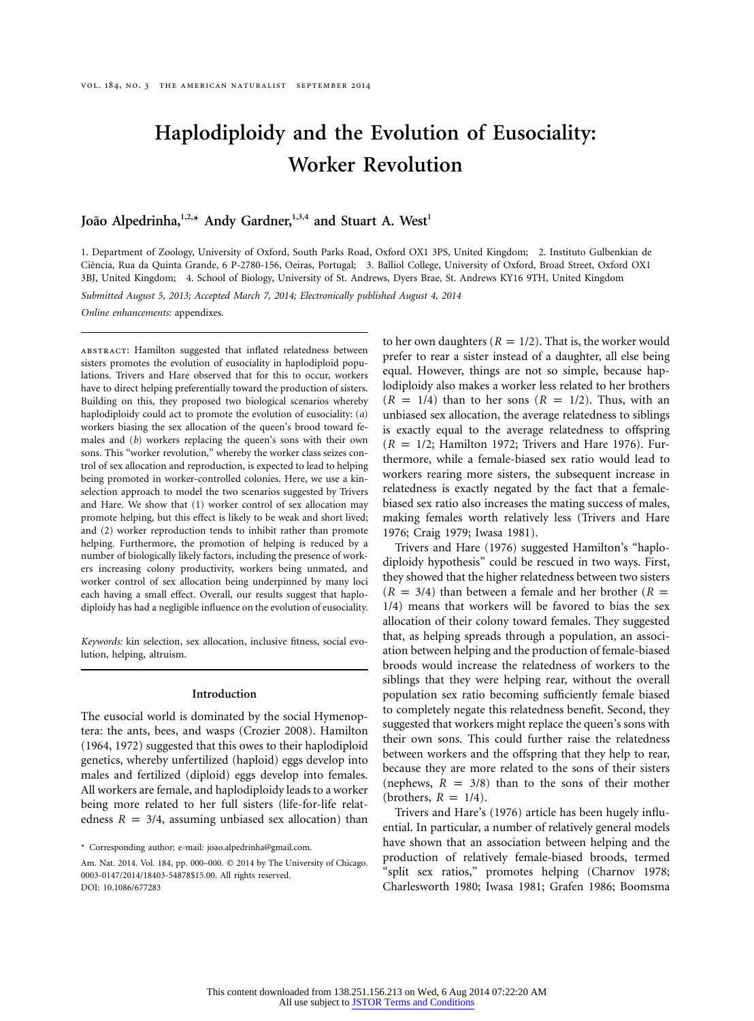# **Haplodiploidy and the Evolution of Eusociality: Worker Revolution**

João Alpedrinha,<sup>1,2,\*</sup> Andy Gardner,<sup>1,3,4</sup> and Stuart A. West<sup>1</sup>

1. Department of Zoology, University of Oxford, South Parks Road, Oxford OX1 3PS, United Kingdom; 2. Instituto Gulbenkian de Ciência, Rua da Quinta Grande, 6 P-2780-156, Oeiras, Portugal; 3. Balliol College, University of Oxford, Broad Street, Oxford OX1 3BJ, United Kingdom; 4. School of Biology, University of St. Andrews, Dyers Brae, St. Andrews KY16 9TH, United Kingdom

*Submitted August 5, 2013; Accepted March 7, 2014; Electronically published August 4, 2014*

*Online enhancements:* appendixes.

ABSTRACT: Hamilton suggested that inflated relatedness between sisters promotes the evolution of eusociality in haplodiploid populations. Trivers and Hare observed that for this to occur, workers have to direct helping preferentially toward the production of sisters. Building on this, they proposed two biological scenarios whereby haplodiploidy could act to promote the evolution of eusociality: (*a*) workers biasing the sex allocation of the queen's brood toward females and (*b*) workers replacing the queen's sons with their own sons. This "worker revolution," whereby the worker class seizes control of sex allocation and reproduction, is expected to lead to helping being promoted in worker-controlled colonies. Here, we use a kinselection approach to model the two scenarios suggested by Trivers and Hare. We show that (1) worker control of sex allocation may promote helping, but this effect is likely to be weak and short lived; and (2) worker reproduction tends to inhibit rather than promote helping. Furthermore, the promotion of helping is reduced by a number of biologically likely factors, including the presence of workers increasing colony productivity, workers being unmated, and worker control of sex allocation being underpinned by many loci each having a small effect. Overall, our results suggest that haplodiploidy has had a negligible influence on the evolution of eusociality.

*Keywords:* kin selection, sex allocation, inclusive fitness, social evolution, helping, altruism.

## **Introduction**

The eusocial world is dominated by the social Hymenoptera: the ants, bees, and wasps (Crozier 2008). Hamilton (1964, 1972) suggested that this owes to their haplodiploid genetics, whereby unfertilized (haploid) eggs develop into males and fertilized (diploid) eggs develop into females. All workers are female, and haplodiploidy leads to a worker being more related to her full sisters (life-for-life relatedness  $R = 3/4$ , assuming unbiased sex allocation) than

to her own daughters  $(R = 1/2)$ . That is, the worker would prefer to rear a sister instead of a daughter, all else being equal. However, things are not so simple, because haplodiploidy also makes a worker less related to her brothers  $(R = 1/4)$  than to her sons  $(R = 1/2)$ . Thus, with an unbiased sex allocation, the average relatedness to siblings is exactly equal to the average relatedness to offspring  $(R = 1/2;$  Hamilton 1972; Trivers and Hare 1976). Furthermore, while a female-biased sex ratio would lead to workers rearing more sisters, the subsequent increase in relatedness is exactly negated by the fact that a femalebiased sex ratio also increases the mating success of males, making females worth relatively less (Trivers and Hare 1976; Craig 1979; Iwasa 1981).

Trivers and Hare (1976) suggested Hamilton's "haplodiploidy hypothesis" could be rescued in two ways. First, they showed that the higher relatedness between two sisters  $(R = 3/4)$  than between a female and her brother  $(R = 1/2)$ 1/4) means that workers will be favored to bias the sex allocation of their colony toward females. They suggested that, as helping spreads through a population, an association between helping and the production of female-biased broods would increase the relatedness of workers to the siblings that they were helping rear, without the overall population sex ratio becoming sufficiently female biased to completely negate this relatedness benefit. Second, they suggested that workers might replace the queen's sons with their own sons. This could further raise the relatedness between workers and the offspring that they help to rear, because they are more related to the sons of their sisters (nephews,  $R = 3/8$ ) than to the sons of their mother (brothers,  $R = 1/4$ ).

Trivers and Hare's (1976) article has been hugely influential. In particular, a number of relatively general models have shown that an association between helping and the production of relatively female-biased broods, termed "split sex ratios," promotes helping (Charnov 1978; Charlesworth 1980; Iwasa 1981; Grafen 1986; Boomsma

<sup>\*</sup> Corresponding author; e-mail: [joao.alpedrinha@gmail.com.](mailto:joao.alpedrinha@gmail.com)

Am. Nat. 2014. Vol. 184, pp. 000-000. © 2014 by The University of Chicago. 0003-0147/2014/18403-54878\$15.00. All rights reserved. DOI: 10.1086/677283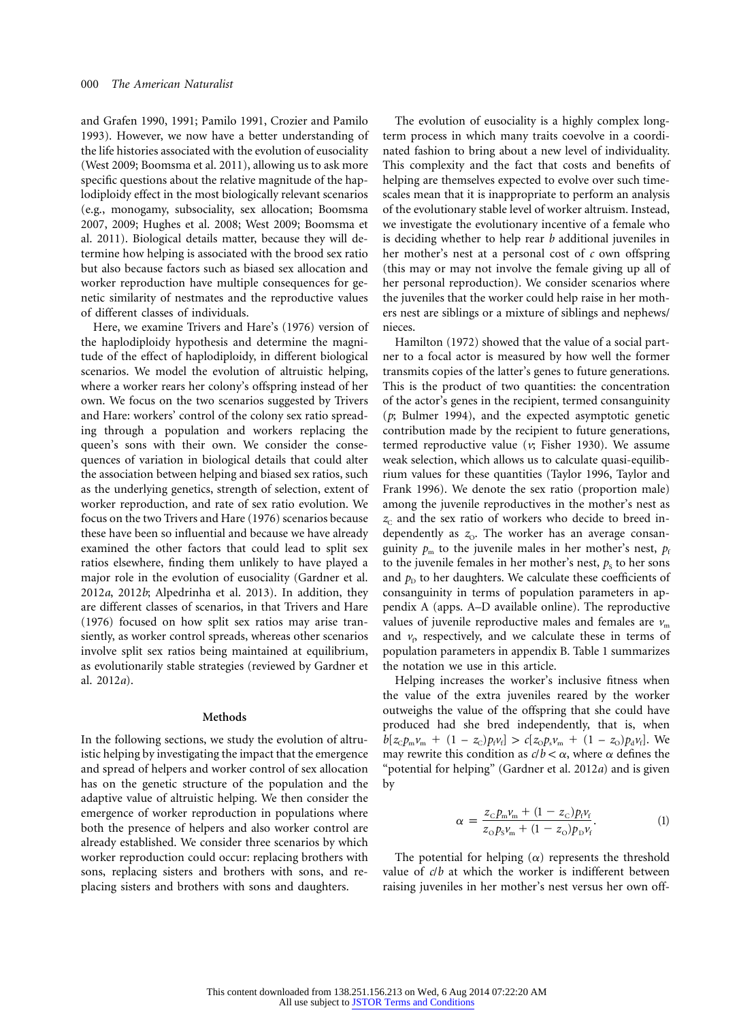and Grafen 1990, 1991; Pamilo 1991, Crozier and Pamilo 1993). However, we now have a better understanding of the life histories associated with the evolution of eusociality (West 2009; Boomsma et al. 2011), allowing us to ask more specific questions about the relative magnitude of the haplodiploidy effect in the most biologically relevant scenarios (e.g., monogamy, subsociality, sex allocation; Boomsma 2007, 2009; Hughes et al. 2008; West 2009; Boomsma et al. 2011). Biological details matter, because they will determine how helping is associated with the brood sex ratio but also because factors such as biased sex allocation and worker reproduction have multiple consequences for genetic similarity of nestmates and the reproductive values of different classes of individuals.

Here, we examine Trivers and Hare's (1976) version of the haplodiploidy hypothesis and determine the magnitude of the effect of haplodiploidy, in different biological scenarios. We model the evolution of altruistic helping, where a worker rears her colony's offspring instead of her own. We focus on the two scenarios suggested by Trivers and Hare: workers' control of the colony sex ratio spreading through a population and workers replacing the queen's sons with their own. We consider the consequences of variation in biological details that could alter the association between helping and biased sex ratios, such as the underlying genetics, strength of selection, extent of worker reproduction, and rate of sex ratio evolution. We focus on the two Trivers and Hare (1976) scenarios because these have been so influential and because we have already examined the other factors that could lead to split sex ratios elsewhere, finding them unlikely to have played a major role in the evolution of eusociality (Gardner et al. 2012*a*, 2012*b*; Alpedrinha et al. 2013). In addition, they are different classes of scenarios, in that Trivers and Hare (1976) focused on how split sex ratios may arise transiently, as worker control spreads, whereas other scenarios involve split sex ratios being maintained at equilibrium, as evolutionarily stable strategies (reviewed by Gardner et al. 2012*a*).

#### **Methods**

In the following sections, we study the evolution of altruistic helping by investigating the impact that the emergence and spread of helpers and worker control of sex allocation has on the genetic structure of the population and the adaptive value of altruistic helping. We then consider the emergence of worker reproduction in populations where both the presence of helpers and also worker control are already established. We consider three scenarios by which worker reproduction could occur: replacing brothers with sons, replacing sisters and brothers with sons, and replacing sisters and brothers with sons and daughters.

The evolution of eusociality is a highly complex longterm process in which many traits coevolve in a coordinated fashion to bring about a new level of individuality. This complexity and the fact that costs and benefits of helping are themselves expected to evolve over such timescales mean that it is inappropriate to perform an analysis of the evolutionary stable level of worker altruism. Instead, we investigate the evolutionary incentive of a female who is deciding whether to help rear *b* additional juveniles in her mother's nest at a personal cost of *c* own offspring (this may or may not involve the female giving up all of her personal reproduction). We consider scenarios where the juveniles that the worker could help raise in her mothers nest are siblings or a mixture of siblings and nephews/ nieces.

Hamilton (1972) showed that the value of a social partner to a focal actor is measured by how well the former transmits copies of the latter's genes to future generations. This is the product of two quantities: the concentration of the actor's genes in the recipient, termed consanguinity (*p*; Bulmer 1994), and the expected asymptotic genetic contribution made by the recipient to future generations, termed reproductive value (*v*; Fisher 1930). We assume weak selection, which allows us to calculate quasi-equilibrium values for these quantities (Taylor 1996, Taylor and Frank 1996). We denote the sex ratio (proportion male) among the juvenile reproductives in the mother's nest as  $z_c$  and the sex ratio of workers who decide to breed independently as  $z_0$ . The worker has an average consanguinity  $p_m$  to the juvenile males in her mother's nest,  $p_f$ to the juvenile females in her mother's nest,  $p<sub>s</sub>$  to her sons and  $p<sub>D</sub>$  to her daughters. We calculate these coefficients of consanguinity in terms of population parameters in appendix A (apps. A–D available online). The reproductive values of juvenile reproductive males and females are  $v<sub>m</sub>$ and  $v_p$  respectively, and we calculate these in terms of population parameters in appendix B. Table 1 summarizes the notation we use in this article.

Helping increases the worker's inclusive fitness when the value of the extra juveniles reared by the worker outweighs the value of the offspring that she could have produced had she bred independently, that is, when  $b[z_c p_m v_m + (1 - z_c) p_f v_f] > c[z_0 p_s v_m + (1 - z_o) p_d v_f]$ . We may rewrite this condition as  $c/b < \alpha$ , where  $\alpha$  defines the "potential for helping" (Gardner et al. 2012*a*) and is given by

$$
\alpha = \frac{z_{\rm C}p_{\rm m}\nu_{\rm m} + (1 - z_{\rm C})p_{\rm f}\nu_{\rm f}}{z_{\rm O}p_{\rm s}\nu_{\rm m} + (1 - z_{\rm O})p_{\rm D}\nu_{\rm f}}.
$$
(1)

The potential for helping  $(\alpha)$  represents the threshold value of *c*/*b* at which the worker is indifferent between raising juveniles in her mother's nest versus her own off-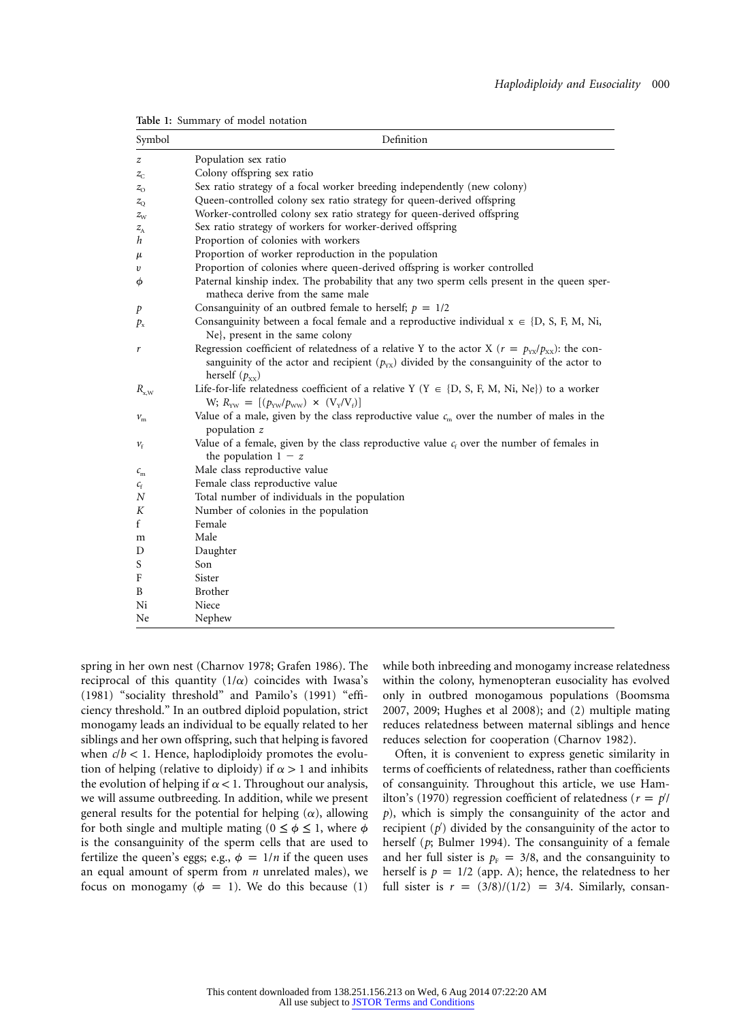| Symbol         | Definition                                                                                                                                                                                                                    |
|----------------|-------------------------------------------------------------------------------------------------------------------------------------------------------------------------------------------------------------------------------|
| z              | Population sex ratio                                                                                                                                                                                                          |
| $z_{\rm C}$    | Colony offspring sex ratio                                                                                                                                                                                                    |
| $z_{\rm o}$    | Sex ratio strategy of a focal worker breeding independently (new colony)                                                                                                                                                      |
| $z_{\rm O}$    | Queen-controlled colony sex ratio strategy for queen-derived offspring                                                                                                                                                        |
| $z_{\rm w}$    | Worker-controlled colony sex ratio strategy for queen-derived offspring                                                                                                                                                       |
| $z_{\rm A}$    | Sex ratio strategy of workers for worker-derived offspring                                                                                                                                                                    |
| h              | Proportion of colonies with workers                                                                                                                                                                                           |
| μ              | Proportion of worker reproduction in the population                                                                                                                                                                           |
| υ              | Proportion of colonies where queen-derived offspring is worker controlled                                                                                                                                                     |
| φ              | Paternal kinship index. The probability that any two sperm cells present in the queen sper-<br>matheca derive from the same male                                                                                              |
| p              | Consanguinity of an outbred female to herself; $p = 1/2$                                                                                                                                                                      |
| $P_{\rm x}$    | Consanguinity between a focal female and a reproductive individual $x \in \{D, S, F, M, Ni, \}$<br>Ne, present in the same colony                                                                                             |
| r              | Regression coefficient of relatedness of a relative Y to the actor X ( $r = p_{yx}/p_{xx}$ ): the con-<br>sanguinity of the actor and recipient $(p_{yx})$ divided by the consanguinity of the actor to<br>herself $(p_{xx})$ |
| $R_{\rm x, W}$ | Life-for-life relatedness coefficient of a relative Y (Y $\in$ {D, S, F, M, Ni, Ne}) to a worker<br>W; $R_{\text{vw}} = [(p_{\text{vw}}/p_{\text{ww}}) \times (V_{\text{y}}/V_{\text{f}})]$                                   |
| $\nu_{\rm m}$  | Value of a male, given by the class reproductive value $c_m$ over the number of males in the<br>population z                                                                                                                  |
| $\nu_{\rm f}$  | Value of a female, given by the class reproductive value $c_f$ over the number of females in<br>the population $1 - z$                                                                                                        |
| $c_{\rm m}$    | Male class reproductive value                                                                                                                                                                                                 |
| $c_{\rm f}$    | Female class reproductive value                                                                                                                                                                                               |
| N              | Total number of individuals in the population                                                                                                                                                                                 |
| Κ              | Number of colonies in the population                                                                                                                                                                                          |
| f              | Female                                                                                                                                                                                                                        |
| m              | Male                                                                                                                                                                                                                          |
| D              | Daughter                                                                                                                                                                                                                      |
| S              | Son                                                                                                                                                                                                                           |
| F              | Sister                                                                                                                                                                                                                        |
| B              | Brother                                                                                                                                                                                                                       |
| Ni             | Niece                                                                                                                                                                                                                         |
| Ne             | Nephew                                                                                                                                                                                                                        |

**Table 1:** Summary of model notation

spring in her own nest (Charnov 1978; Grafen 1986). The reciprocal of this quantity  $(1/\alpha)$  coincides with Iwasa's (1981) "sociality threshold" and Pamilo's (1991) "efficiency threshold." In an outbred diploid population, strict monogamy leads an individual to be equally related to her siblings and her own offspring, such that helping is favored when  $c/b < 1$ . Hence, haplodiploidy promotes the evolution of helping (relative to diploidy) if  $\alpha > 1$  and inhibits the evolution of helping if  $\alpha$  < 1. Throughout our analysis, we will assume outbreeding. In addition, while we present general results for the potential for helping  $(\alpha)$ , allowing for both single and multiple mating ( $0 \le \phi \le 1$ , where  $\phi$ is the consanguinity of the sperm cells that are used to fertilize the queen's eggs; e.g.,  $\phi = 1/n$  if the queen uses an equal amount of sperm from *n* unrelated males), we focus on monogamy ( $\phi = 1$ ). We do this because (1)

while both inbreeding and monogamy increase relatedness within the colony, hymenopteran eusociality has evolved only in outbred monogamous populations (Boomsma 2007, 2009; Hughes et al 2008); and (2) multiple mating reduces relatedness between maternal siblings and hence reduces selection for cooperation (Charnov 1982).

Often, it is convenient to express genetic similarity in terms of coefficients of relatedness, rather than coefficients of consanguinity. Throughout this article, we use Hamilton's (1970) regression coefficient of relatedness ( $r = p$ <sup>*|*</sup> *p*), which is simply the consanguinity of the actor and recipient (*p* ) divided by the consanguinity of the actor to herself (*p*; Bulmer 1994). The consanguinity of a female and her full sister is  $p_F = 3/8$ , and the consanguinity to herself is  $p = 1/2$  (app. A); hence, the relatedness to her full sister is  $r = (3/8)/(1/2) = 3/4$ . Similarly, consan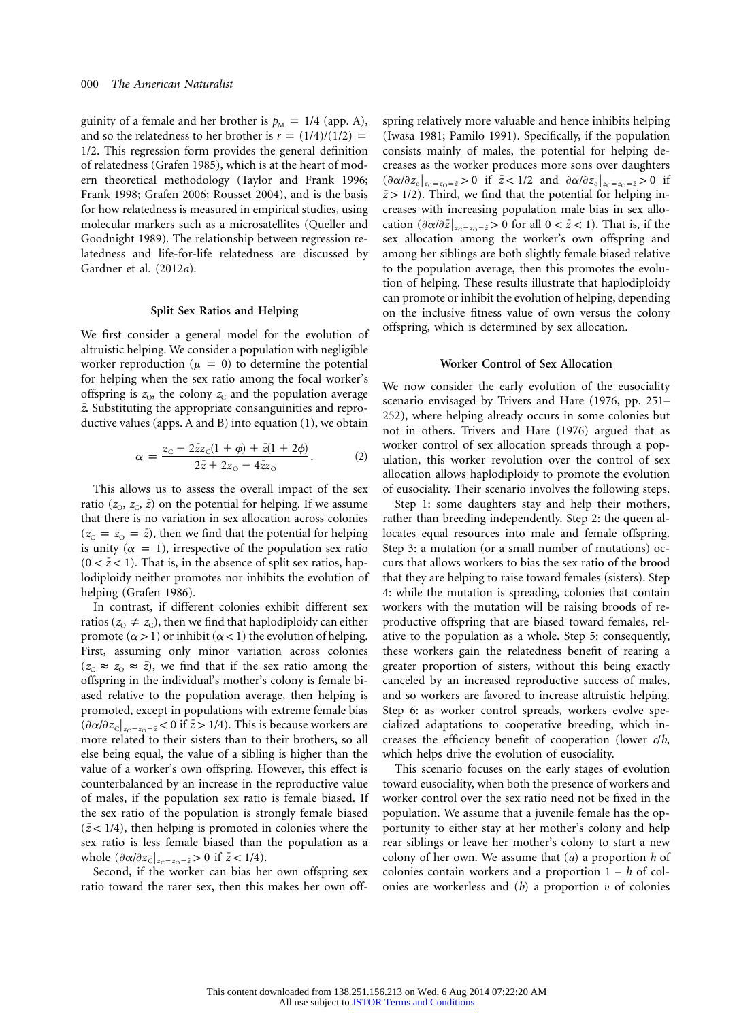guinity of a female and her brother is  $p_M = 1/4$  (app. A), and so the relatedness to her brother is  $r = (1/4)/(1/2)$  = 1/2. This regression form provides the general definition of relatedness (Grafen 1985), which is at the heart of modern theoretical methodology (Taylor and Frank 1996; Frank 1998; Grafen 2006; Rousset 2004), and is the basis for how relatedness is measured in empirical studies, using molecular markers such as a microsatellites (Queller and Goodnight 1989). The relationship between regression relatedness and life-for-life relatedness are discussed by Gardner et al. (2012*a*).

# **Split Sex Ratios and Helping**

We first consider a general model for the evolution of altruistic helping. We consider a population with negligible worker reproduction ( $\mu = 0$ ) to determine the potential for helping when the sex ratio among the focal worker's offspring is  $z_0$ , the colony  $z_0$  and the population average *¯z*. Substituting the appropriate consanguinities and reproductive values (apps. A and B) into equation (1), we obtain

$$
\alpha = \frac{z_{\rm C} - 2\bar{z}z_{\rm C}(1+\phi) + \bar{z}(1+2\phi)}{2\bar{z} + 2z_{\rm O} - 4\bar{z}z_{\rm O}}.\tag{2}
$$

This allows us to assess the overall impact of the sex ratio ( $z_0$ ,  $z_c$ ,  $\bar{z}$ ) on the potential for helping. If we assume that there is no variation in sex allocation across colonies  $(z_c = z_0 = \bar{z})$ , then we find that the potential for helping is unity ( $\alpha = 1$ ), irrespective of the population sex ratio  $(0 < \bar{z} < 1)$ . That is, in the absence of split sex ratios, haplodiploidy neither promotes nor inhibits the evolution of helping (Grafen 1986).

In contrast, if different colonies exhibit different sex ratios ( $z_0 \neq z_c$ ), then we find that haplodiploidy can either promote  $(\alpha > 1)$  or inhibit  $(\alpha < 1)$  the evolution of helping. First, assuming only minor variation across colonies  $(z_c \approx z_0 \approx \bar{z})$ , we find that if the sex ratio among the offspring in the individual's mother's colony is female biased relative to the population average, then helping is promoted, except in populations with extreme female bias  $\left(\frac{\partial \alpha}{\partial z_c}\right]_{z_c=z_0=\bar{z}}$  < 0 if  $\bar{z}$  > 1/4). This is because workers are more related to their sisters than to their brothers, so all else being equal, the value of a sibling is higher than the value of a worker's own offspring. However, this effect is counterbalanced by an increase in the reproductive value of males, if the population sex ratio is female biased. If the sex ratio of the population is strongly female biased  $(z < 1/4)$ , then helping is promoted in colonies where the sex ratio is less female biased than the population as a whole  $(\partial \alpha/\partial z_{\text{c}}|_{z_{\text{c}}=z_{\text{0}}=\bar{z}} > 0$  if  $\bar{z} < 1/4$ ).

Second, if the worker can bias her own offspring sex ratio toward the rarer sex, then this makes her own offspring relatively more valuable and hence inhibits helping (Iwasa 1981; Pamilo 1991). Specifically, if the population consists mainly of males, the potential for helping decreases as the worker produces more sons over daughters  $(\partial \alpha/\partial z_{\text{o}}|_{z_{\text{C}}=z_{\text{O}}=\bar{z}} > 0$  if  $\bar{z} < 1/2$  and  $\partial \alpha/\partial z_{\text{o}}|_{z_{\text{C}}=z_{\text{O}}=\bar{z}} > 0$  if  $\bar{z}$  > 1/2). Third, we find that the potential for helping increases with increasing population male bias in sex allocation  $\left(\frac{\partial \alpha}{\partial \bar{z}}\right|_{z_c=z_0=\bar{z}} > 0$  for all  $0 < \bar{z} < 1$ ). That is, if the sex allocation among the worker's own offspring and among her siblings are both slightly female biased relative to the population average, then this promotes the evolution of helping. These results illustrate that haplodiploidy can promote or inhibit the evolution of helping, depending on the inclusive fitness value of own versus the colony offspring, which is determined by sex allocation.

# **Worker Control of Sex Allocation**

We now consider the early evolution of the eusociality scenario envisaged by Trivers and Hare (1976, pp. 251– 252), where helping already occurs in some colonies but not in others. Trivers and Hare (1976) argued that as worker control of sex allocation spreads through a population, this worker revolution over the control of sex allocation allows haplodiploidy to promote the evolution of eusociality. Their scenario involves the following steps.

Step 1: some daughters stay and help their mothers, rather than breeding independently. Step 2: the queen allocates equal resources into male and female offspring. Step 3: a mutation (or a small number of mutations) occurs that allows workers to bias the sex ratio of the brood that they are helping to raise toward females (sisters). Step 4: while the mutation is spreading, colonies that contain workers with the mutation will be raising broods of reproductive offspring that are biased toward females, relative to the population as a whole. Step 5: consequently, these workers gain the relatedness benefit of rearing a greater proportion of sisters, without this being exactly canceled by an increased reproductive success of males, and so workers are favored to increase altruistic helping. Step 6: as worker control spreads, workers evolve specialized adaptations to cooperative breeding, which increases the efficiency benefit of cooperation (lower *c*/*b*, which helps drive the evolution of eusociality.

This scenario focuses on the early stages of evolution toward eusociality, when both the presence of workers and worker control over the sex ratio need not be fixed in the population. We assume that a juvenile female has the opportunity to either stay at her mother's colony and help rear siblings or leave her mother's colony to start a new colony of her own. We assume that (*a*) a proportion *h* of colonies contain workers and a proportion 1 – *h* of colonies are workerless and (*b*) a proportion u of colonies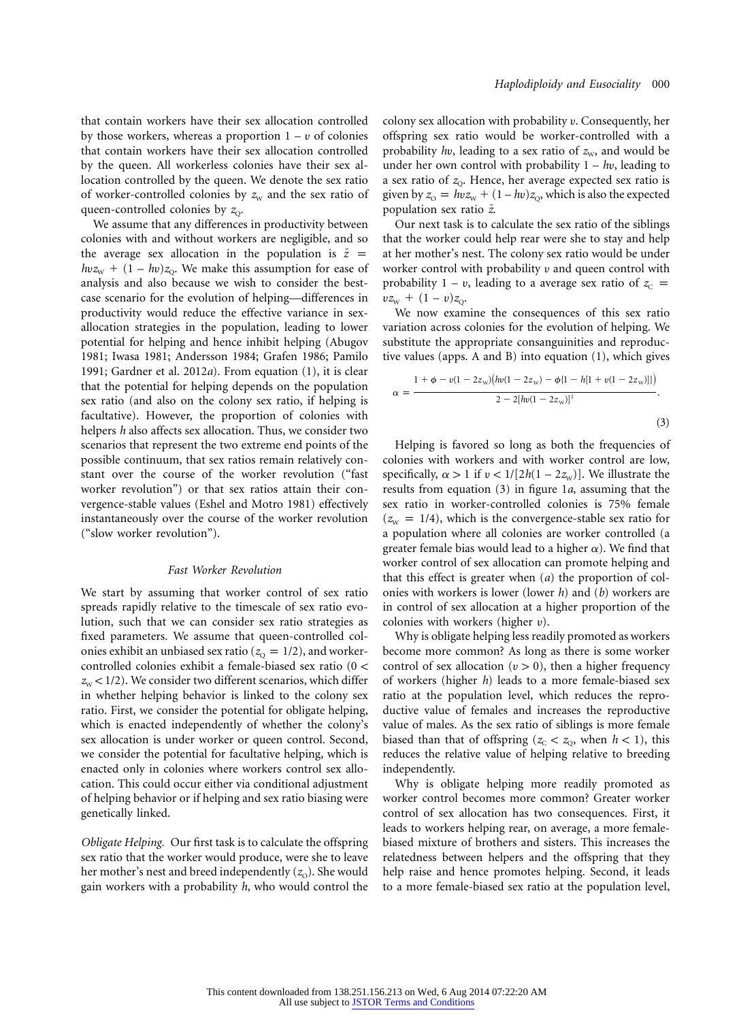that contain workers have their sex allocation controlled by those workers, whereas a proportion  $1 - v$  of colonies that contain workers have their sex allocation controlled by the queen. All workerless colonies have their sex allocation controlled by the queen. We denote the sex ratio of worker-controlled colonies by  $z_w$  and the sex ratio of queen-controlled colonies by  $z_0$ .

We assume that any differences in productivity between colonies with and without workers are negligible, and so the average sex allocation in the population is  $\bar{z}$  =  $h v z_{\rm w} + (1 - h v) z_{\rm Q}$ . We make this assumption for ease of analysis and also because we wish to consider the bestcase scenario for the evolution of helping—differences in productivity would reduce the effective variance in sexallocation strategies in the population, leading to lower potential for helping and hence inhibit helping (Abugov 1981; Iwasa 1981; Andersson 1984; Grafen 1986; Pamilo 1991; Gardner et al. 2012*a*). From equation (1), it is clear that the potential for helping depends on the population sex ratio (and also on the colony sex ratio, if helping is facultative). However, the proportion of colonies with helpers *h* also affects sex allocation. Thus, we consider two scenarios that represent the two extreme end points of the possible continuum, that sex ratios remain relatively constant over the course of the worker revolution ("fast worker revolution") or that sex ratios attain their convergence-stable values (Eshel and Motro 1981) effectively instantaneously over the course of the worker revolution ("slow worker revolution").

#### *Fast Worker Revolution*

We start by assuming that worker control of sex ratio spreads rapidly relative to the timescale of sex ratio evolution, such that we can consider sex ratio strategies as fixed parameters. We assume that queen-controlled colonies exhibit an unbiased sex ratio ( $z<sub>o</sub> = 1/2$ ), and workercontrolled colonies exhibit a female-biased sex ratio  $(0 <$  $z_{\text{w}}$  < 1/2). We consider two different scenarios, which differ in whether helping behavior is linked to the colony sex ratio. First, we consider the potential for obligate helping, which is enacted independently of whether the colony's sex allocation is under worker or queen control. Second, we consider the potential for facultative helping, which is enacted only in colonies where workers control sex allocation. This could occur either via conditional adjustment of helping behavior or if helping and sex ratio biasing were genetically linked.

*Obligate Helping.* Our first task is to calculate the offspring sex ratio that the worker would produce, were she to leave her mother's nest and breed independently (*z*<sub>O</sub>). She would gain workers with a probability *h*, who would control the

colony sex allocation with probability u. Consequently, her offspring sex ratio would be worker-controlled with a probability *hv*, leading to a sex ratio of  $z<sub>w</sub>$ , and would be under her own control with probability 1 – *h*u, leading to a sex ratio of  $z_0$ . Hence, her average expected sex ratio is given by  $z_{\text{o}} = h v z_{\text{w}} + (1 - h v) z_{\text{o}}$ , which is also the expected population sex ratio  $\bar{z}$ .

Our next task is to calculate the sex ratio of the siblings that the worker could help rear were she to stay and help at her mother's nest. The colony sex ratio would be under worker control with probability  $v$  and queen control with probability  $1 - v$ , leading to a average sex ratio of  $z_c$  =  $vz_{w} + (1 - v)z_{Q}$ .

We now examine the consequences of this sex ratio variation across colonies for the evolution of helping. We substitute the appropriate consanguinities and reproductive values (apps. A and B) into equation (1), which gives

$$
\alpha = \frac{1 + \phi - v(1 - 2z_{w})(lw(1 - 2z_{w}) - \phi\{1 - h[1 + v(1 - 2z_{w})]\})}{2 - 2[hw(1 - 2z_{w})]^{2}}.
$$
\n(3)

Helping is favored so long as both the frequencies of colonies with workers and with worker control are low, specifically,  $\alpha > 1$  if  $v < 1/[2h(1 - 2z_w)]$ . We illustrate the results from equation (3) in figure 1*a*, assuming that the sex ratio in worker-controlled colonies is 75% female  $(z<sub>W</sub> = 1/4)$ , which is the convergence-stable sex ratio for a population where all colonies are worker controlled (a greater female bias would lead to a higher  $\alpha$ ). We find that worker control of sex allocation can promote helping and that this effect is greater when (*a*) the proportion of colonies with workers is lower (lower *h*) and (*b*) workers are in control of sex allocation at a higher proportion of the colonies with workers (higher  $v$ ).

Why is obligate helping less readily promoted as workers become more common? As long as there is some worker control of sex allocation ( $v > 0$ ), then a higher frequency of workers (higher *h*) leads to a more female-biased sex ratio at the population level, which reduces the reproductive value of females and increases the reproductive value of males. As the sex ratio of siblings is more female biased than that of offspring ( $z_c < z_0$ , when  $h < 1$ ), this reduces the relative value of helping relative to breeding independently.

Why is obligate helping more readily promoted as worker control becomes more common? Greater worker control of sex allocation has two consequences. First, it leads to workers helping rear, on average, a more femalebiased mixture of brothers and sisters. This increases the relatedness between helpers and the offspring that they help raise and hence promotes helping. Second, it leads to a more female-biased sex ratio at the population level,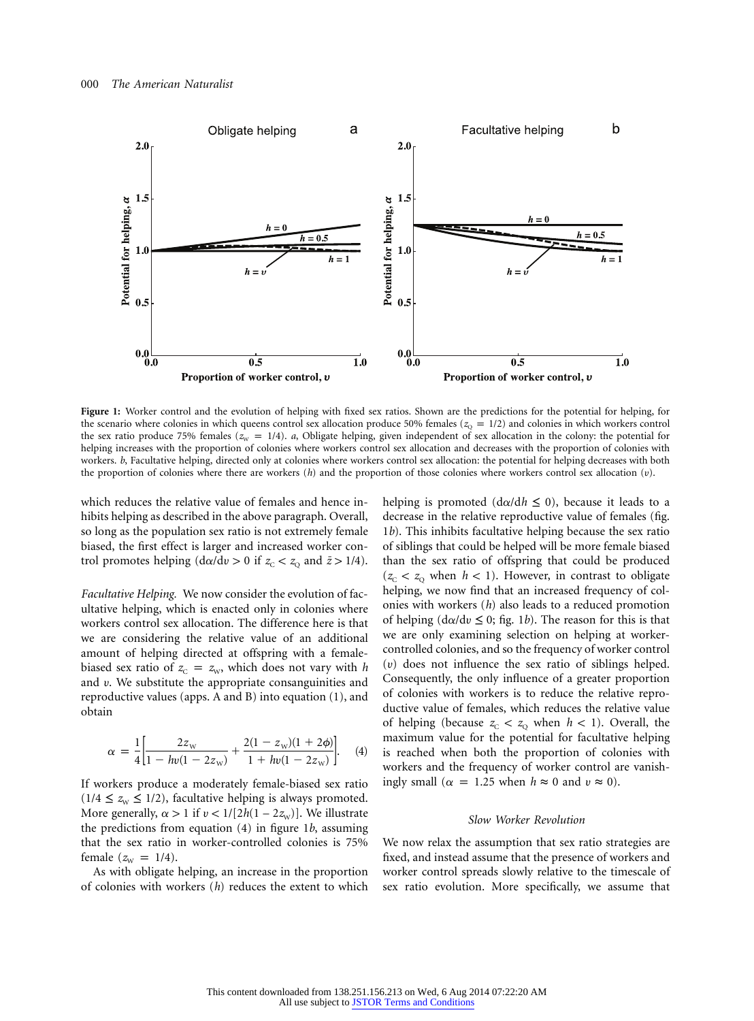

**Figure 1:** Worker control and the evolution of helping with fixed sex ratios. Shown are the predictions for the potential for helping, for the scenario where colonies in which queens control sex allocation produce 50% females ( $z<sub>Q</sub> = 1/2$ ) and colonies in which workers control the sex ratio produce 75% females ( $z<sub>w</sub> = 1/4$ ). *a*, Obligate helping, given independent of sex allocation in the colony: the potential for helping increases with the proportion of colonies where workers control sex allocation and decreases with the proportion of colonies with workers. *b*, Facultative helping, directed only at colonies where workers control sex allocation: the potential for helping decreases with both the proportion of colonies where there are workers  $(h)$  and the proportion of those colonies where workers control sex allocation  $(v)$ .

which reduces the relative value of females and hence inhibits helping as described in the above paragraph. Overall, so long as the population sex ratio is not extremely female biased, the first effect is larger and increased worker control promotes helping  $(d\alpha/d\nu > 0$  if  $z_c < z_o$  and  $\bar{z} > 1/4$ .

*Facultative Helping.* We now consider the evolution of facultative helping, which is enacted only in colonies where workers control sex allocation. The difference here is that we are considering the relative value of an additional amount of helping directed at offspring with a femalebiased sex ratio of  $z_c = z_w$ , which does not vary with *h* and  $v$ . We substitute the appropriate consanguinities and reproductive values (apps. A and B) into equation (1), and obtain

$$
\alpha = \frac{1}{4} \left[ \frac{2z_{\rm w}}{1 - h\nu(1 - 2z_{\rm w})} + \frac{2(1 - z_{\rm w})(1 + 2\phi)}{1 + h\nu(1 - 2z_{\rm w})} \right].
$$
 (4)

If workers produce a moderately female-biased sex ratio  $(1/4 \le z_w \le 1/2)$ , facultative helping is always promoted. More generally,  $\alpha > 1$  if  $v < 1/[2h(1 - 2z_w)]$ . We illustrate the predictions from equation (4) in figure 1*b*, assuming that the sex ratio in worker-controlled colonies is 75% female  $(z_{\text{w}} = 1/4)$ .

As with obligate helping, an increase in the proportion of colonies with workers (*h*) reduces the extent to which helping is promoted  $(d\alpha/dh \le 0)$ , because it leads to a decrease in the relative reproductive value of females (fig. 1*b*). This inhibits facultative helping because the sex ratio of siblings that could be helped will be more female biased than the sex ratio of offspring that could be produced  $(z_c < z_0$  when  $h < 1$ ). However, in contrast to obligate helping, we now find that an increased frequency of colonies with workers (*h*) also leads to a reduced promotion of helping  $(d\alpha/dv \leq 0;$  fig. 1*b*). The reason for this is that we are only examining selection on helping at workercontrolled colonies, and so the frequency of worker control  $(v)$  does not influence the sex ratio of siblings helped. Consequently, the only influence of a greater proportion of colonies with workers is to reduce the relative reproductive value of females, which reduces the relative value of helping (because  $z_c < z_o$  when  $h < 1$ ). Overall, the maximum value for the potential for facultative helping is reached when both the proportion of colonies with workers and the frequency of worker control are vanishingly small ( $\alpha = 1.25$  when  $h \approx 0$  and  $v \approx 0$ ).

# *Slow Worker Revolution*

We now relax the assumption that sex ratio strategies are fixed, and instead assume that the presence of workers and worker control spreads slowly relative to the timescale of sex ratio evolution. More specifically, we assume that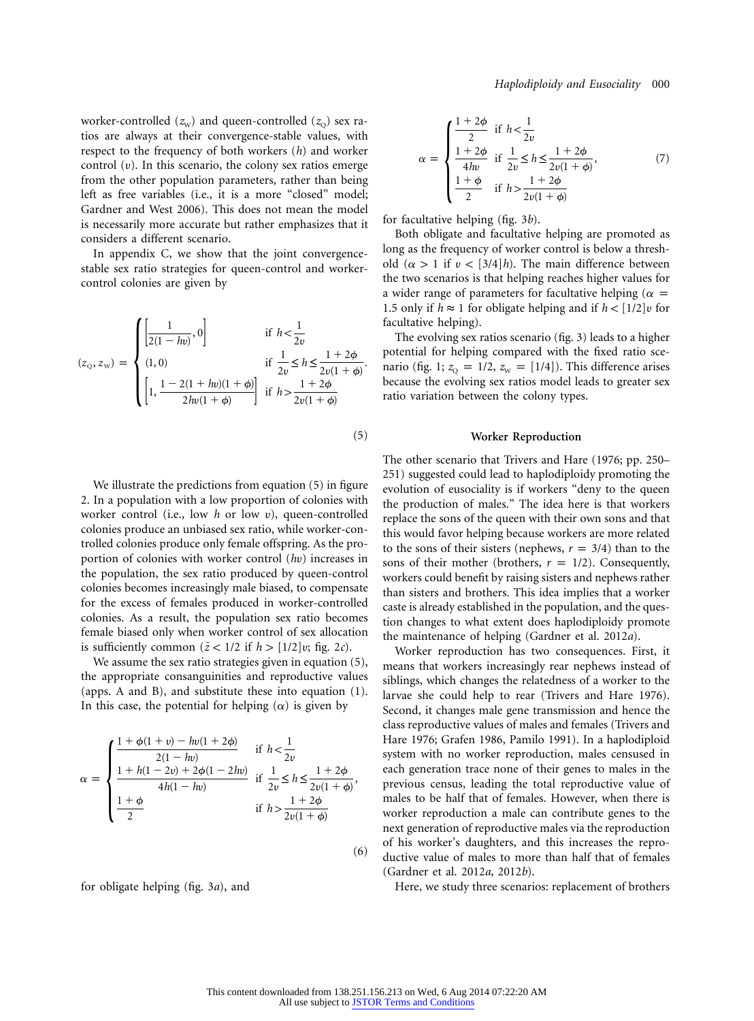worker-controlled  $(z_w)$  and queen-controlled  $(z_o)$  sex ratios are always at their convergence-stable values, with respect to the frequency of both workers (*h*) and worker control  $(v)$ . In this scenario, the colony sex ratios emerge from the other population parameters, rather than being left as free variables (i.e., it is a more "closed" model; Gardner and West 2006). This does not mean the model is necessarily more accurate but rather emphasizes that it considers a different scenario.

In appendix C, we show that the joint convergencestable sex ratio strategies for queen-control and workercontrol colonies are given by

$$
(z_0, z_w) = \begin{cases} \left[\frac{1}{2(1 - hv)}, 0\right] & \text{if } h < \frac{1}{2v} \\ (1, 0) & \text{if } \frac{1}{2v} \le h \le \frac{1 + 2\phi}{2v(1 + \phi)} \\ \left[1, \frac{1 - 2(1 + hv)(1 + \phi)}{2hv(1 + \phi)}\right] & \text{if } h > \frac{1 + 2\phi}{2v(1 + \phi)} \end{cases}
$$

We illustrate the predictions from equation (5) in figure 2. In a population with a low proportion of colonies with worker control (i.e., low *h* or low u), queen-controlled colonies produce an unbiased sex ratio, while worker-controlled colonies produce only female offspring. As the proportion of colonies with worker control (*h*u) increases in the population, the sex ratio produced by queen-control colonies becomes increasingly male biased, to compensate for the excess of females produced in worker-controlled colonies. As a result, the population sex ratio becomes female biased only when worker control of sex allocation is sufficiently common  $(\bar{z}$  < 1/2 if  $h$  > [1/2] $v$ ; fig. 2*c*).

We assume the sex ratio strategies given in equation (5), the appropriate consanguinities and reproductive values (apps. A and B), and substitute these into equation (1). In this case, the potential for helping  $(\alpha)$  is given by

$$
\alpha = \begin{cases} \frac{1 + \phi(1 + v) - hv(1 + 2\phi)}{2(1 - hv)} & \text{if } h < \frac{1}{2v} \\ \frac{1 + h(1 - 2v) + 2\phi(1 - 2hv)}{4h(1 - hv)} & \text{if } \frac{1}{2v} \le h \le \frac{1 + 2\phi}{2v(1 + \phi)}, \\ \frac{1 + \phi}{2} & \text{if } h > \frac{1 + 2\phi}{2v(1 + \phi)} \end{cases} \tag{6}
$$

for obligate helping (fig. 3*a*), and

$$
\alpha = \begin{cases}\n\frac{1+2\phi}{2} & \text{if } h < \frac{1}{2\nu} \\
\frac{1+2\phi}{4h\nu} & \text{if } \frac{1}{2\nu} \le h \le \frac{1+2\phi}{2\nu(1+\phi)}, \\
\frac{1+\phi}{2} & \text{if } h > \frac{1+2\phi}{2\nu(1+\phi)}\n\end{cases}
$$
\n(7)

for facultative helping (fig. 3*b*).

Both obligate and facultative helping are promoted as long as the frequency of worker control is below a threshold  $(\alpha > 1$  if  $\nu < [3/4]h$ ). The main difference between the two scenarios is that helping reaches higher values for a wider range of parameters for facultative helping ( $\alpha =$ 1.5 only if  $h \approx 1$  for obligate helping and if  $h < [1/2]v$  for facultative helping).

The evolving sex ratios scenario (fig. 3) leads to a higher potential for helping compared with the fixed ratio scenario (fig. 1;  $z_0 = 1/2$ ,  $z_w = [1/4]$ ). This difference arises because the evolving sex ratios model leads to greater sex ratio variation between the colony types.

## **Worker Reproduction**

The other scenario that Trivers and Hare (1976; pp. 250– 251) suggested could lead to haplodiploidy promoting the evolution of eusociality is if workers "deny to the queen the production of males." The idea here is that workers replace the sons of the queen with their own sons and that this would favor helping because workers are more related to the sons of their sisters (nephews,  $r = 3/4$ ) than to the sons of their mother (brothers,  $r = 1/2$ ). Consequently, workers could benefit by raising sisters and nephews rather than sisters and brothers. This idea implies that a worker caste is already established in the population, and the question changes to what extent does haplodiploidy promote the maintenance of helping (Gardner et al. 2012*a*).

Worker reproduction has two consequences. First, it means that workers increasingly rear nephews instead of siblings, which changes the relatedness of a worker to the larvae she could help to rear (Trivers and Hare 1976). Second, it changes male gene transmission and hence the class reproductive values of males and females (Trivers and Hare 1976; Grafen 1986, Pamilo 1991). In a haplodiploid system with no worker reproduction, males censused in each generation trace none of their genes to males in the previous census, leading the total reproductive value of males to be half that of females. However, when there is worker reproduction a male can contribute genes to the next generation of reproductive males via the reproduction of his worker's daughters, and this increases the reproductive value of males to more than half that of females (Gardner et al. 2012*a*, 2012*b*).

Here, we study three scenarios: replacement of brothers

(5)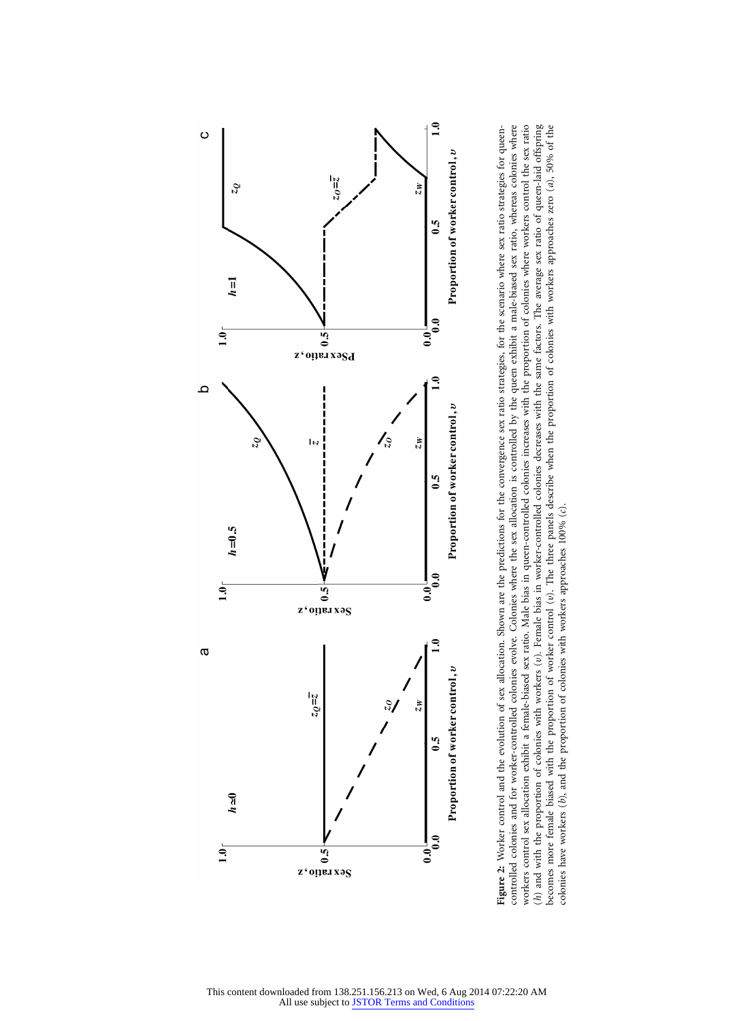

Figure 2: Worker control and the evolution of sex allocation. Shown are the predictions for the convergence sex ratio strategies, for the scenario where sex ratio strategies for queen-<br>controlled colonies and for worker-co workers control sex allocation exhibit a female-biased sex ratio. Male bias in queen-controlled colonies with the proportion of colonies where workers control the sex ratio (*h*) and with the proportion of colonies with workers (*v*). Female bias in worker-controlled colonies decreases with the same factors. The average sex ratio of queen-laid offspring becomes more female biased with the pr **Figure 2:** Worker control and the evolution of sex allocation. Shown are the predictions for the convergence sex ratio strategies, for the scenario where sex ratio strategies for queencontrolled colonies and for worker-controlled colonies evolve. Colonies where the sex allocation is controlled by the queen exhibit a male-biased sex ratio, whereas colonies where workers control sex allocation exhibit a female-biased sex ratio. Male bias in queen-controlled colonies increases with the proportion of colonies where workers control the sex ratio (*h*) and with the proportion of colonies with workers (u). Female bias in worker-controlled colonies decreases with the same factors. The average sex ratio of queen-laid offspring becomes more female biased with the proportion of worker control (u). The three panels describe when the proportion of colonies with workers approaches zero (*a*), 50% of the colonies have workers (*b*), and the proportion of colonies with workers approaches 100% (*c*).

This content downloaded from 138.251.156.213 on Wed, 6 Aug 2014 07:22:20 AM All use subject to [JSTOR Terms and Conditions](http://www.jstor.org/page/info/about/policies/terms.jsp)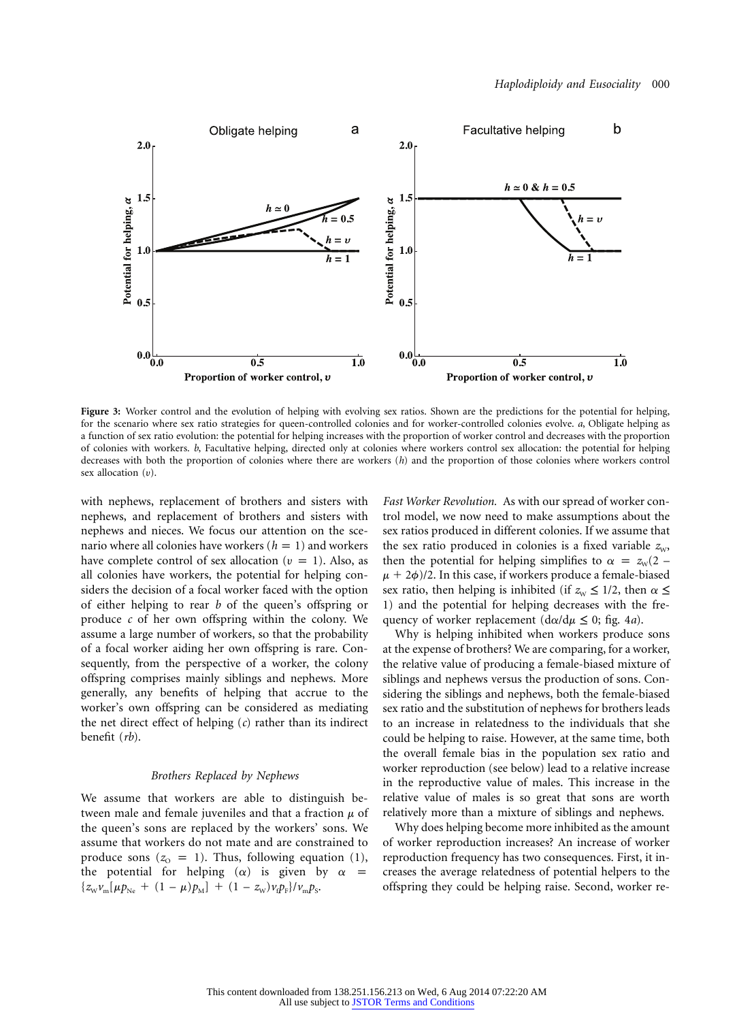

**Figure 3:** Worker control and the evolution of helping with evolving sex ratios. Shown are the predictions for the potential for helping, for the scenario where sex ratio strategies for queen-controlled colonies and for worker-controlled colonies evolve. *a*, Obligate helping as a function of sex ratio evolution: the potential for helping increases with the proportion of worker control and decreases with the proportion of colonies with workers. *b*, Facultative helping, directed only at colonies where workers control sex allocation: the potential for helping decreases with both the proportion of colonies where there are workers (*h*) and the proportion of those colonies where workers control sex allocation  $(v)$ .

with nephews, replacement of brothers and sisters with nephews, and replacement of brothers and sisters with nephews and nieces. We focus our attention on the scenario where all colonies have workers  $(h = 1)$  and workers have complete control of sex allocation ( $v = 1$ ). Also, as all colonies have workers, the potential for helping considers the decision of a focal worker faced with the option of either helping to rear *b* of the queen's offspring or produce *c* of her own offspring within the colony. We assume a large number of workers, so that the probability of a focal worker aiding her own offspring is rare. Consequently, from the perspective of a worker, the colony offspring comprises mainly siblings and nephews. More generally, any benefits of helping that accrue to the worker's own offspring can be considered as mediating the net direct effect of helping (*c*) rather than its indirect benefit (*rb*).

## *Brothers Replaced by Nephews*

We assume that workers are able to distinguish between male and female juveniles and that a fraction  $\mu$  of the queen's sons are replaced by the workers' sons. We assume that workers do not mate and are constrained to produce sons  $(z_0 = 1)$ . Thus, following equation (1), the potential for helping  $(\alpha)$  is given by  $\alpha$  =  ${z_{\text{w}}\nu_{\text{m}}[\mu p_{\text{Ne}} + (1 - \mu)p_{\text{M}}] + (1 - z_{\text{w}})\nu_{\text{f}}p_{\text{F}}}/\nu_{\text{m}}p_{\text{s}}.}$ 

*Fast Worker Revolution.* As with our spread of worker control model, we now need to make assumptions about the sex ratios produced in different colonies. If we assume that the sex ratio produced in colonies is a fixed variable  $z_{w}$ , then the potential for helping simplifies to  $\alpha = z_w(2 \mu$  + 2 $\phi$ )/2. In this case, if workers produce a female-biased sex ratio, then helping is inhibited (if  $z_w \leq 1/2$ , then  $\alpha \leq$ 1) and the potential for helping decreases with the frequency of worker replacement  $(d\alpha/d\mu \leq 0;$  fig. 4*a*).

Why is helping inhibited when workers produce sons at the expense of brothers? We are comparing, for a worker, the relative value of producing a female-biased mixture of siblings and nephews versus the production of sons. Considering the siblings and nephews, both the female-biased sex ratio and the substitution of nephews for brothers leads to an increase in relatedness to the individuals that she could be helping to raise. However, at the same time, both the overall female bias in the population sex ratio and worker reproduction (see below) lead to a relative increase in the reproductive value of males. This increase in the relative value of males is so great that sons are worth relatively more than a mixture of siblings and nephews.

Why does helping become more inhibited as the amount of worker reproduction increases? An increase of worker reproduction frequency has two consequences. First, it increases the average relatedness of potential helpers to the offspring they could be helping raise. Second, worker re-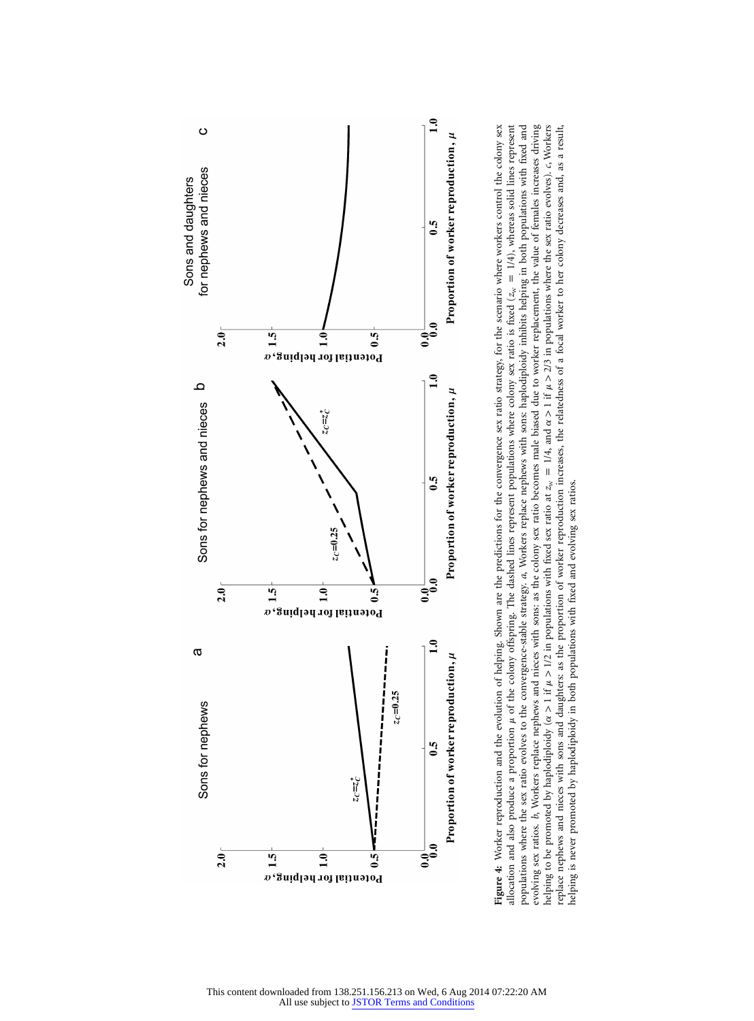

Figure 4: Worker reproduction and the evolution of helping. Shown are the predictions for the convergence sex ratio strategy, for the scenario where workers control the colony sex allocation and also produce a proportion  $\mu$  of the colony offspring. The dashed lines represent populations where colony sex ratio is fixed ( $z_{\text{av}} = 1/4$ ), whereas solid lines represent populations where the sex ratio evolves to the convergence-stable strategy. a, Workers replace nephews with sons: haplodiploidy inhibits helping in both populations with fixed and evolving sex ratios. b, Workers replace nephews and nieces with sons: as the colony sex ratio becomes male biased due to worker replacement, the value of females increases driving replace nephews and nieces with sons and daughters: as the proportion of worker reproduction increases, the relatedness of a focal worker to her colony decreases and, as a result, **Figure 4:** Worker reproduction and the evolution of helping. Shown are the predictions for the convergence sex ratio strategy, for the scenario where workers control the colony sex 1/4), whereas solid lines represent populations where the sex ratio evolves to the convergence-stable strategy. *a*, Workers replace nephews with sons: haplodiploidy inhibits helping in both populations with fixed and evolving sex ratios. *b*, Workers replace nephews and nieces with sons: as the colony sex ratio becomes male biased due to worker replacement, the value of females increases driving  $> 1$  if  $\mu$   $> 2/3$  in populations where the sex ratio evolves). *c*, Workers replace nephews and nieces with sons and daughters: as the proportion of worker reproduction increases, the relatedness of a focal worker to her colony decreases and, as a result, allocation and also produce a proportion  $\mu$  of the colony offspring. The dashed lines represent populations where colony sex ratio is fixed (*z*<sub>W</sub> Λ a  $= 1/4$ , and helping is never promoted by haplodiploidy in both populations with fixed and evolving sex ratios.  $> 1$  if  $\mu > 1/2$  in populations with fixed sex ratio at  $z_w$ helping is never promoted by haplodiploidy in both populations with fixed and evolving sex ratios. Λ a helping to be promoted by haplodiploidy (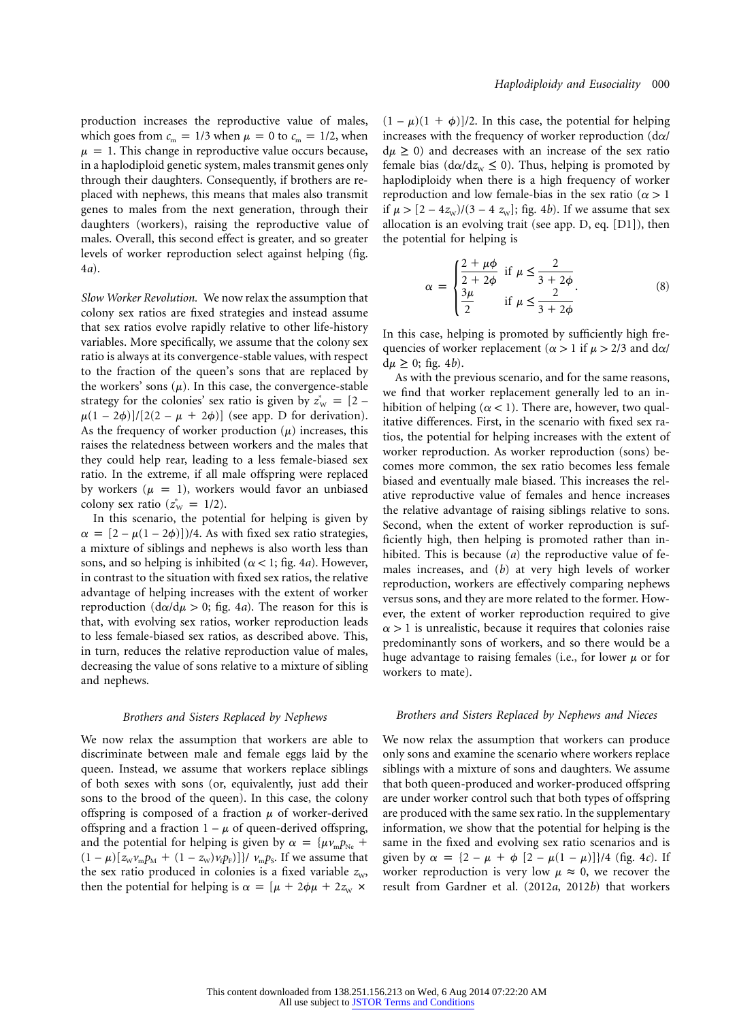production increases the reproductive value of males, which goes from  $c_m = 1/3$  when  $\mu = 0$  to  $c_m = 1/2$ , when  $\mu = 1$ . This change in reproductive value occurs because, in a haplodiploid genetic system, males transmit genes only through their daughters. Consequently, if brothers are replaced with nephews, this means that males also transmit genes to males from the next generation, through their daughters (workers), raising the reproductive value of males. Overall, this second effect is greater, and so greater levels of worker reproduction select against helping (fig. 4*a*).

*Slow Worker Revolution.* We now relax the assumption that colony sex ratios are fixed strategies and instead assume that sex ratios evolve rapidly relative to other life-history variables. More specifically, we assume that the colony sex ratio is always at its convergence-stable values, with respect to the fraction of the queen's sons that are replaced by the workers' sons  $(\mu)$ . In this case, the convergence-stable strategy for the colonies' sex ratio is given by  $z^*_{w} = [2 \mu(1-2\phi)/[2(2-\mu + 2\phi)]$  (see app. D for derivation). As the frequency of worker production  $(\mu)$  increases, this raises the relatedness between workers and the males that they could help rear, leading to a less female-biased sex ratio. In the extreme, if all male offspring were replaced by workers ( $\mu = 1$ ), workers would favor an unbiased colony sex ratio  $(z_{\text{w}}^* = 1/2)$ .

In this scenario, the potential for helping is given by  $\alpha = [2 - \mu(1 - 2\phi)]/4$ . As with fixed sex ratio strategies, a mixture of siblings and nephews is also worth less than sons, and so helping is inhibited ( $\alpha$  < 1; fig. 4*a*). However, in contrast to the situation with fixed sex ratios, the relative advantage of helping increases with the extent of worker reproduction ( $d\alpha/d\mu > 0$ ; fig. 4*a*). The reason for this is that, with evolving sex ratios, worker reproduction leads to less female-biased sex ratios, as described above. This, in turn, reduces the relative reproduction value of males, decreasing the value of sons relative to a mixture of sibling and nephews.

#### *Brothers and Sisters Replaced by Nephews*

We now relax the assumption that workers are able to discriminate between male and female eggs laid by the queen. Instead, we assume that workers replace siblings of both sexes with sons (or, equivalently, just add their sons to the brood of the queen). In this case, the colony offspring is composed of a fraction  $\mu$  of worker-derived offspring and a fraction  $1 - \mu$  of queen-derived offspring, and the potential for helping is given by  $\alpha = {\mu \nu_{\rm m} p_{\rm Ne}} +$  $(1 - \mu) [z_w v_m p_M + (1 - z_w) v_i p_F]$ }/  $v_m p_S$ . If we assume that the sex ratio produced in colonies is a fixed variable  $z_{w}$ , then the potential for helping is  $\alpha = [\mu + 2\phi\mu + 2z_{w} \times$ 

 $(1 - \mu)(1 + \phi)$ /2. In this case, the potential for helping increases with the frequency of worker reproduction  $(d\alpha/d)$  $d\mu \geq 0$ ) and decreases with an increase of the sex ratio female bias ( $d\alpha/dz_w \leq 0$ ). Thus, helping is promoted by haplodiploidy when there is a high frequency of worker reproduction and low female-bias in the sex ratio ( $\alpha > 1$ if  $\mu > [2 - 4z_{\rm w})/(3 - 4z_{\rm w})$ ; fig. 4*b*). If we assume that sex allocation is an evolving trait (see app. D, eq. [D1]), then the potential for helping is

$$
\alpha = \begin{cases} \frac{2+\mu\phi}{2+2\phi} & \text{if } \mu \le \frac{2}{3+2\phi} \\ \frac{3\mu}{2} & \text{if } \mu \le \frac{2}{3+2\phi} \end{cases} (8)
$$

In this case, helping is promoted by sufficiently high frequencies of worker replacement ( $\alpha > 1$  if  $\mu > 2/3$  and d $\alpha$ /  $d\mu \geq 0$ ; fig. 4*b*).

As with the previous scenario, and for the same reasons, we find that worker replacement generally led to an inhibition of helping ( $\alpha$  < 1). There are, however, two qualitative differences. First, in the scenario with fixed sex ratios, the potential for helping increases with the extent of worker reproduction. As worker reproduction (sons) becomes more common, the sex ratio becomes less female biased and eventually male biased. This increases the relative reproductive value of females and hence increases the relative advantage of raising siblings relative to sons. Second, when the extent of worker reproduction is sufficiently high, then helping is promoted rather than inhibited. This is because (*a*) the reproductive value of females increases, and (*b*) at very high levels of worker reproduction, workers are effectively comparing nephews versus sons, and they are more related to the former. However, the extent of worker reproduction required to give  $\alpha$  > 1 is unrealistic, because it requires that colonies raise predominantly sons of workers, and so there would be a huge advantage to raising females (i.e., for lower  $\mu$  or for workers to mate).

## *Brothers and Sisters Replaced by Nephews and Nieces*

We now relax the assumption that workers can produce only sons and examine the scenario where workers replace siblings with a mixture of sons and daughters. We assume that both queen-produced and worker-produced offspring are under worker control such that both types of offspring are produced with the same sex ratio. In the supplementary information, we show that the potential for helping is the same in the fixed and evolving sex ratio scenarios and is given by  $\alpha = \{2 - \mu + \phi [2 - \mu(1 - \mu)]\}/4$  (fig. 4*c*). If worker reproduction is very low  $\mu \approx 0$ , we recover the result from Gardner et al. (2012*a*, 2012*b*) that workers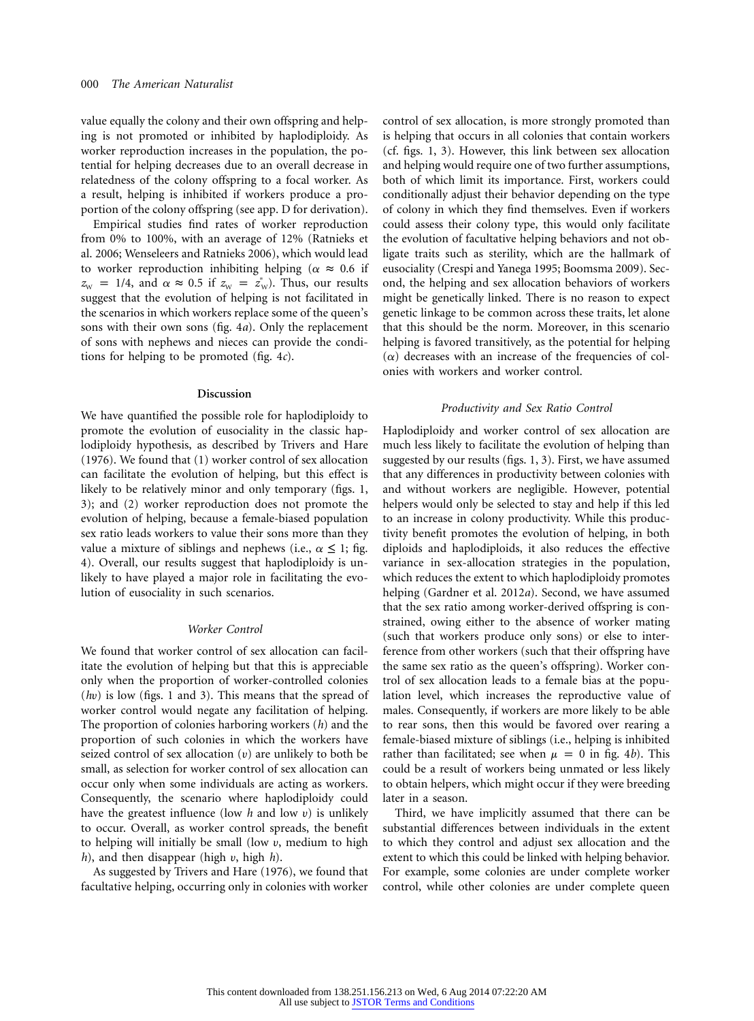value equally the colony and their own offspring and helping is not promoted or inhibited by haplodiploidy. As worker reproduction increases in the population, the potential for helping decreases due to an overall decrease in relatedness of the colony offspring to a focal worker. As a result, helping is inhibited if workers produce a proportion of the colony offspring (see app. D for derivation).

Empirical studies find rates of worker reproduction from 0% to 100%, with an average of 12% (Ratnieks et al. 2006; Wenseleers and Ratnieks 2006), which would lead to worker reproduction inhibiting helping ( $\alpha \approx 0.6$  if  $z_{\text{w}} = 1/4$ , and  $\alpha \approx 0.5$  if  $z_{\text{w}} = z_{\text{w}}^*$ ). Thus, our results suggest that the evolution of helping is not facilitated in the scenarios in which workers replace some of the queen's sons with their own sons (fig. 4*a*). Only the replacement of sons with nephews and nieces can provide the conditions for helping to be promoted (fig. 4*c*).

#### **Discussion**

We have quantified the possible role for haplodiploidy to promote the evolution of eusociality in the classic haplodiploidy hypothesis, as described by Trivers and Hare (1976). We found that (1) worker control of sex allocation can facilitate the evolution of helping, but this effect is likely to be relatively minor and only temporary (figs. 1, 3); and (2) worker reproduction does not promote the evolution of helping, because a female-biased population sex ratio leads workers to value their sons more than they value a mixture of siblings and nephews (i.e.,  $\alpha \leq 1$ ; fig. 4). Overall, our results suggest that haplodiploidy is unlikely to have played a major role in facilitating the evolution of eusociality in such scenarios.

### *Worker Control*

We found that worker control of sex allocation can facilitate the evolution of helping but that this is appreciable only when the proportion of worker-controlled colonies (*h*u) is low (figs. 1 and 3). This means that the spread of worker control would negate any facilitation of helping. The proportion of colonies harboring workers (*h*) and the proportion of such colonies in which the workers have seized control of sex allocation  $(v)$  are unlikely to both be small, as selection for worker control of sex allocation can occur only when some individuals are acting as workers. Consequently, the scenario where haplodiploidy could have the greatest influence (low *h* and low u) is unlikely to occur. Overall, as worker control spreads, the benefit to helping will initially be small (low  $v$ , medium to high  $h$ ), and then disappear (high  $v$ , high  $h$ ).

As suggested by Trivers and Hare (1976), we found that facultative helping, occurring only in colonies with worker

control of sex allocation, is more strongly promoted than is helping that occurs in all colonies that contain workers (cf. figs. 1, 3). However, this link between sex allocation and helping would require one of two further assumptions, both of which limit its importance. First, workers could conditionally adjust their behavior depending on the type of colony in which they find themselves. Even if workers could assess their colony type, this would only facilitate the evolution of facultative helping behaviors and not obligate traits such as sterility, which are the hallmark of eusociality (Crespi and Yanega 1995; Boomsma 2009). Second, the helping and sex allocation behaviors of workers might be genetically linked. There is no reason to expect genetic linkage to be common across these traits, let alone that this should be the norm. Moreover, in this scenario helping is favored transitively, as the potential for helping  $(\alpha)$  decreases with an increase of the frequencies of colonies with workers and worker control.

# *Productivity and Sex Ratio Control*

Haplodiploidy and worker control of sex allocation are much less likely to facilitate the evolution of helping than suggested by our results (figs. 1, 3). First, we have assumed that any differences in productivity between colonies with and without workers are negligible. However, potential helpers would only be selected to stay and help if this led to an increase in colony productivity. While this productivity benefit promotes the evolution of helping, in both diploids and haplodiploids, it also reduces the effective variance in sex-allocation strategies in the population, which reduces the extent to which haplodiploidy promotes helping (Gardner et al. 2012*a*). Second, we have assumed that the sex ratio among worker-derived offspring is constrained, owing either to the absence of worker mating (such that workers produce only sons) or else to interference from other workers (such that their offspring have the same sex ratio as the queen's offspring). Worker control of sex allocation leads to a female bias at the population level, which increases the reproductive value of males. Consequently, if workers are more likely to be able to rear sons, then this would be favored over rearing a female-biased mixture of siblings (i.e., helping is inhibited rather than facilitated; see when  $\mu = 0$  in fig. 4*b*). This could be a result of workers being unmated or less likely to obtain helpers, which might occur if they were breeding later in a season.

Third, we have implicitly assumed that there can be substantial differences between individuals in the extent to which they control and adjust sex allocation and the extent to which this could be linked with helping behavior. For example, some colonies are under complete worker control, while other colonies are under complete queen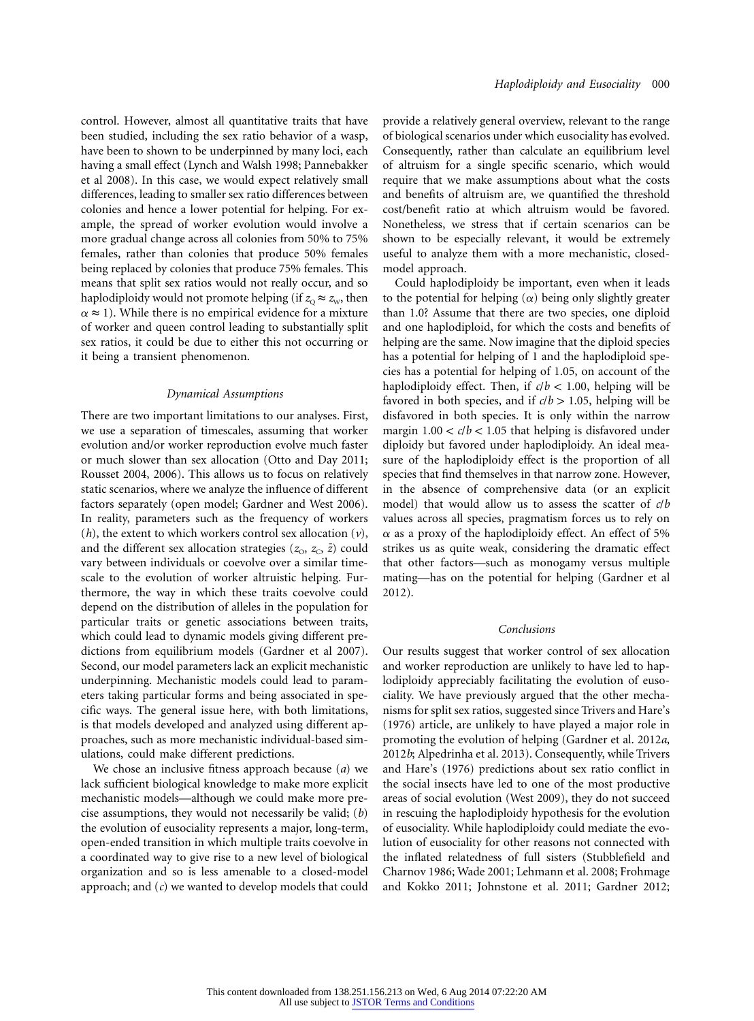control. However, almost all quantitative traits that have been studied, including the sex ratio behavior of a wasp, have been to shown to be underpinned by many loci, each having a small effect (Lynch and Walsh 1998; Pannebakker et al 2008). In this case, we would expect relatively small differences, leading to smaller sex ratio differences between colonies and hence a lower potential for helping. For example, the spread of worker evolution would involve a more gradual change across all colonies from 50% to 75% females, rather than colonies that produce 50% females being replaced by colonies that produce 75% females. This means that split sex ratios would not really occur, and so haplodiploidy would not promote helping (if  $z_0 \approx z_w$ , then  $\alpha \approx 1$ ). While there is no empirical evidence for a mixture of worker and queen control leading to substantially split sex ratios, it could be due to either this not occurring or it being a transient phenomenon.

#### *Dynamical Assumptions*

There are two important limitations to our analyses. First, we use a separation of timescales, assuming that worker evolution and/or worker reproduction evolve much faster or much slower than sex allocation (Otto and Day 2011; Rousset 2004, 2006). This allows us to focus on relatively static scenarios, where we analyze the influence of different factors separately (open model; Gardner and West 2006). In reality, parameters such as the frequency of workers (*h*), the extent to which workers control sex allocation (*v*), and the different sex allocation strategies  $(z_0, z_0, \bar{z})$  could vary between individuals or coevolve over a similar timescale to the evolution of worker altruistic helping. Furthermore, the way in which these traits coevolve could depend on the distribution of alleles in the population for particular traits or genetic associations between traits, which could lead to dynamic models giving different predictions from equilibrium models (Gardner et al 2007). Second, our model parameters lack an explicit mechanistic underpinning. Mechanistic models could lead to parameters taking particular forms and being associated in specific ways. The general issue here, with both limitations, is that models developed and analyzed using different approaches, such as more mechanistic individual-based simulations, could make different predictions.

We chose an inclusive fitness approach because (*a*) we lack sufficient biological knowledge to make more explicit mechanistic models—although we could make more precise assumptions, they would not necessarily be valid; (*b*) the evolution of eusociality represents a major, long-term, open-ended transition in which multiple traits coevolve in a coordinated way to give rise to a new level of biological organization and so is less amenable to a closed-model approach; and (*c*) we wanted to develop models that could

provide a relatively general overview, relevant to the range of biological scenarios under which eusociality has evolved. Consequently, rather than calculate an equilibrium level of altruism for a single specific scenario, which would require that we make assumptions about what the costs and benefits of altruism are, we quantified the threshold cost/benefit ratio at which altruism would be favored. Nonetheless, we stress that if certain scenarios can be shown to be especially relevant, it would be extremely useful to analyze them with a more mechanistic, closedmodel approach.

Could haplodiploidy be important, even when it leads to the potential for helping  $(\alpha)$  being only slightly greater than 1.0? Assume that there are two species, one diploid and one haplodiploid, for which the costs and benefits of helping are the same. Now imagine that the diploid species has a potential for helping of 1 and the haplodiploid species has a potential for helping of 1.05, on account of the haplodiploidy effect. Then, if  $c/b < 1.00$ , helping will be favored in both species, and if  $c/b > 1.05$ , helping will be disfavored in both species. It is only within the narrow margin  $1.00 < c/b < 1.05$  that helping is disfavored under diploidy but favored under haplodiploidy. An ideal measure of the haplodiploidy effect is the proportion of all species that find themselves in that narrow zone. However, in the absence of comprehensive data (or an explicit model) that would allow us to assess the scatter of *c*/*b* values across all species, pragmatism forces us to rely on  $\alpha$  as a proxy of the haplodiploidy effect. An effect of 5% strikes us as quite weak, considering the dramatic effect that other factors—such as monogamy versus multiple mating—has on the potential for helping (Gardner et al 2012).

### *Conclusions*

Our results suggest that worker control of sex allocation and worker reproduction are unlikely to have led to haplodiploidy appreciably facilitating the evolution of eusociality. We have previously argued that the other mechanisms for split sex ratios, suggested since Trivers and Hare's (1976) article, are unlikely to have played a major role in promoting the evolution of helping (Gardner et al. 2012*a*, 2012*b*; Alpedrinha et al. 2013). Consequently, while Trivers and Hare's (1976) predictions about sex ratio conflict in the social insects have led to one of the most productive areas of social evolution (West 2009), they do not succeed in rescuing the haplodiploidy hypothesis for the evolution of eusociality. While haplodiploidy could mediate the evolution of eusociality for other reasons not connected with the inflated relatedness of full sisters (Stubblefield and Charnov 1986; Wade 2001; Lehmann et al. 2008; Frohmage and Kokko 2011; Johnstone et al. 2011; Gardner 2012;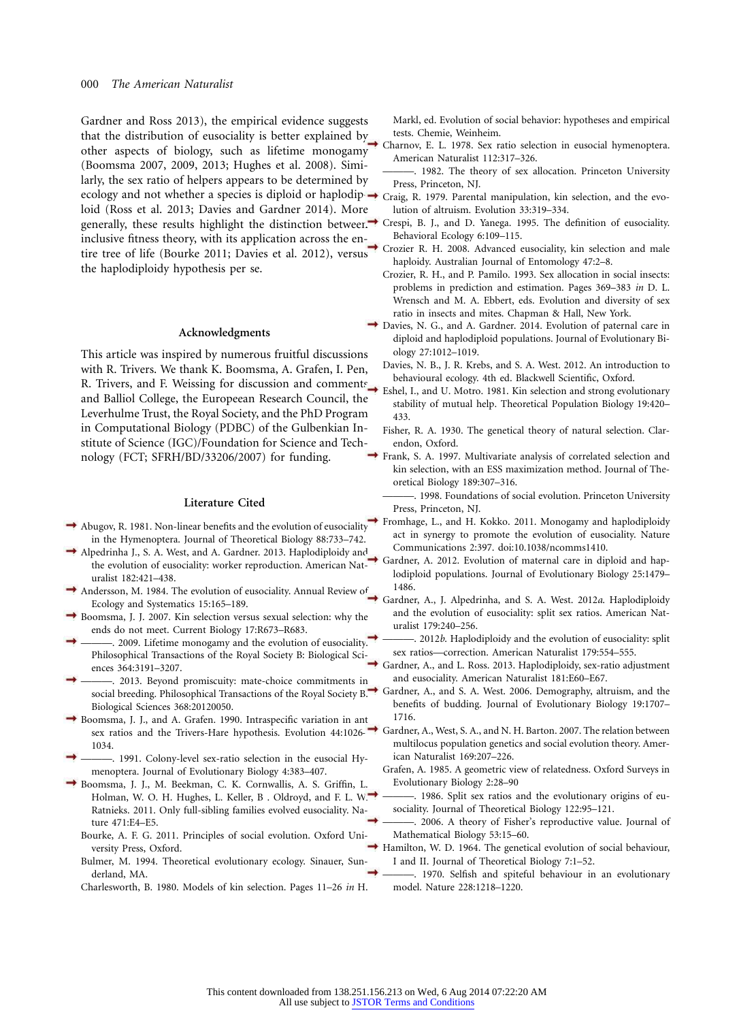# 000 *The American Naturalist*

Gardner and Ross 2013), the empirical evidence suggests that the distribution of eusociality is better explained by other aspects of biology, such as lifetime monogamy (Boomsma 2007, 2009, 2013; Hughes et al. 2008). Similarly, the sex ratio of helpers appears to be determined by ecology and not whether a species is diploid or haplodip-Craig, R. 1979. Parental manipulation, kin selection, and the evoloid (Ross et al. 2013; Davies and Gardner 2014). More generally, these results highlight the distinction between. $\rightarrow$ inclusive fitness theory, with its application across the entire tree of life (Bourke 2011; Davies et al. 2012), versus the haplodiploidy hypothesis per se.

# **Acknowledgments**

This article was inspired by numerous fruitful discussions with R. Trivers. We thank K. Boomsma, A. Grafen, I. Pen, R. Trivers, and F. Weissing for discussion and comments and Balliol College, the Europeean Research Council, the Leverhulme Trust, the Royal Society, and the PhD Program in Computational Biology (PDBC) of the Gulbenkian Institute of Science (IGC)/Foundation for Science and Technology (FCT; SFRH/BD/33206/2007) for funding.

#### **Literature Cited**

- $\rightarrow$  Abugov, R. 1981. Non-linear benefits and the evolution of eusociality in the Hymenoptera. Journal of Theoretical Biology 88:733–742.
- Alpedrinha J., S. A. West, and A. Gardner. 2013. Haplodiploidy and the evolution of eusociality: worker reproduction. American Naturalist 182:421–438.
- Andersson, M. 1984. The evolution of eusociality. Annual Review of Ecology and Systematics 15:165–189.
- Boomsma, J. J. 2007. Kin selection versus sexual selection: why the ends do not meet. Current Biology 17:R673–R683.
- -. 2009. Lifetime monogamy and the evolution of eusociality. Philosophical Transactions of the Royal Society B: Biological Sciences 364:3191–3207.
- 2013. Beyond promiscuity: mate-choice commitments in social breeding. Philosophical Transactions of the Royal Society B: Biological Sciences 368:20120050.
- Boomsma, J. J., and A. Grafen. 1990. Intraspecific variation in ant sex ratios and the Trivers-Hare hypothesis. Evolution 44:1026– 1034.
- -. 1991. Colony-level sex-ratio selection in the eusocial Hymenoptera. Journal of Evolutionary Biology 4:383–407.
- Boomsma, J. J., M. Beekman, C. K. Cornwallis, A. S. Griffin, L. Holman, W. O. H. Hughes, L. Keller, B . Oldroyd, and F. L. W. Ratnieks. 2011. Only full-sibling families evolved eusociality. Nature 471:E4–E5.
	- Bourke, A. F. G. 2011. Principles of social evolution. Oxford University Press, Oxford.
	- Bulmer, M. 1994. Theoretical evolutionary ecology. Sinauer, Sunderland, MA.

Charlesworth, B. 1980. Models of kin selection. Pages 11–26 *in* H.

Markl, ed. Evolution of social behavior: hypotheses and empirical tests. Chemie, Weinheim.

- Charnov, E. L. 1978. Sex ratio selection in eusocial hymenoptera. American Naturalist 112:317–326.
- 1982. The theory of sex allocation. Princeton University Press, Princeton, NJ.
- lution of altruism. Evolution 33:319–334.
- Crespi, B. J., and D. Yanega. 1995. The definition of eusociality. Behavioral Ecology 6:109–115.
- Crozier R. H. 2008. Advanced eusociality, kin selection and male haploidy. Australian Journal of Entomology 47:2–8.
- Crozier, R. H., and P. Pamilo. 1993. Sex allocation in social insects: problems in prediction and estimation. Pages 369–383 *in* D. L. Wrensch and M. A. Ebbert, eds. Evolution and diversity of sex ratio in insects and mites. Chapman & Hall, New York.
- Davies, N. G., and A. Gardner. 2014. Evolution of paternal care in diploid and haplodiploid populations. Journal of Evolutionary Biology 27:1012–1019.
	- Davies, N. B., J. R. Krebs, and S. A. West. 2012. An introduction to behavioural ecology. 4th ed. Blackwell Scientific, Oxford.
	- Eshel, I., and U. Motro. 1981. Kin selection and strong evolutionary stability of mutual help. Theoretical Population Biology 19:420– 433.
	- Fisher, R. A. 1930. The genetical theory of natural selection. Clarendon, Oxford.
- Frank, S. A. 1997. Multivariate analysis of correlated selection and kin selection, with an ESS maximization method. Journal of Theoretical Biology 189:307–316.
	- -. 1998. Foundations of social evolution. Princeton University Press, Princeton, NJ.
	- Fromhage, L., and H. Kokko. 2011. Monogamy and haplodiploidy act in synergy to promote the evolution of eusociality. Nature Communications 2:397. doi:10.1038/ncomms1410.
	- Gardner, A. 2012. Evolution of maternal care in diploid and haplodiploid populations. Journal of Evolutionary Biology 25:1479– 1486.
- Gardner, A., J. Alpedrinha, and S. A. West. 2012*a*. Haplodiploidy and the evolution of eusociality: split sex ratios. American Naturalist 179:240–256.
	- . 2012*b*. Haplodiploidy and the evolution of eusociality: split sex ratios—correction. American Naturalist 179:554–555.
	- Gardner, A., and L. Ross. 2013. Haplodiploidy, sex-ratio adjustment and eusociality. American Naturalist 181:E60–E67.
	- Gardner, A., and S. A. West. 2006. Demography, altruism, and the benefits of budding. Journal of Evolutionary Biology 19:1707– 1716.
- Gardner, A., West, S. A., and N. H. Barton. 2007. The relation between multilocus population genetics and social evolution theory. American Naturalist 169:207–226.
	- Grafen, A. 1985. A geometric view of relatedness. Oxford Surveys in Evolutionary Biology 2:28–90
		- 1986. Split sex ratios and the evolutionary origins of eusociality. Journal of Theoretical Biology 122:95–121.
	- -. 2006. A theory of Fisher's reproductive value. Journal of Mathematical Biology 53:15–60.
- $\rightarrow$  Hamilton, W. D. 1964. The genetical evolution of social behaviour, I and II. Journal of Theoretical Biology 7:1–52.
	- ———. 1970. Selfish and spiteful behaviour in an evolutionary model. Nature 228:1218–1220.